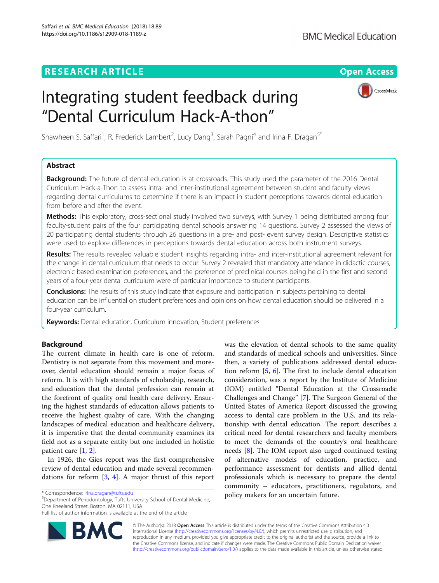# Integrating student feedback during "Dental Curriculum Hack-A-thon"



Shawheen S. Saffari<sup>1</sup>, R. Frederick Lambert<sup>2</sup>, Lucy Dang<sup>3</sup>, Sarah Pagni<sup>4</sup> and Irina F. Dragan<sup>s\*</sup>

# Abstract

**Background:** The future of dental education is at crossroads. This study used the parameter of the 2016 Dental Curriculum Hack-a-Thon to assess intra- and inter-institutional agreement between student and faculty views regarding dental curriculums to determine if there is an impact in student perceptions towards dental education from before and after the event.

Methods: This exploratory, cross-sectional study involved two surveys, with Survey 1 being distributed among four faculty-student pairs of the four participating dental schools answering 14 questions. Survey 2 assessed the views of 20 participating dental students through 26 questions in a pre- and post- event survey design. Descriptive statistics were used to explore differences in perceptions towards dental education across both instrument surveys.

Results: The results revealed valuable student insights regarding intra- and inter-institutional agreement relevant for the change in dental curriculum that needs to occur. Survey 2 revealed that mandatory attendance in didactic courses, electronic based examination preferences, and the preference of preclinical courses being held in the first and second years of a four-year dental curriculum were of particular importance to student participants.

**Conclusions:** The results of this study indicate that exposure and participation in subjects pertaining to dental education can be influential on student preferences and opinions on how dental education should be delivered in a four-year curriculum.

Keywords: Dental education, Curriculum innovation, Student preferences

# Background

The current climate in health care is one of reform. Dentistry is not separate from this movement and moreover, dental education should remain a major focus of reform. It is with high standards of scholarship, research, and education that the dental profession can remain at the forefront of quality oral health care delivery. Ensuring the highest standards of education allows patients to receive the highest quality of care. With the changing landscapes of medical education and healthcare delivery, it is imperative that the dental community examines its field not as a separate entity but one included in holistic patient care [[1,](#page-4-0) [2\]](#page-4-0).

In 1926, the Gies report was the first comprehensive review of dental education and made several recommendations for reform [\[3](#page-4-0), [4](#page-4-0)]. A major thrust of this report

Department of Periodontology, Tufts University School of Dental Medicine, One Kneeland Street, Boston, MA 02111, USA

Full list of author information is available at the end of the article



was the elevation of dental schools to the same quality and standards of medical schools and universities. Since then, a variety of publications addressed dental education reform [[5](#page-4-0), [6](#page-4-0)]. The first to include dental education consideration, was a report by the Institute of Medicine (IOM) entitled "Dental Education at the Crossroads: Challenges and Change" [[7\]](#page-4-0). The Surgeon General of the United States of America Report discussed the growing access to dental care problem in the U.S. and its relationship with dental education. The report describes a critical need for dental researchers and faculty members to meet the demands of the country's oral healthcare needs [[8\]](#page-5-0). The IOM report also urged continued testing of alternative models of education, practice, and performance assessment for dentists and allied dental professionals which is necessary to prepare the dental community – educators, practitioners, regulators, and \*Correspondence: [irina.dragan@tufts.edu](mailto:irina.dragan@tufts.edu) policy makers for an uncertain future.

> © The Author(s). 2018 Open Access This article is distributed under the terms of the Creative Commons Attribution 4.0 International License [\(http://creativecommons.org/licenses/by/4.0/](http://creativecommons.org/licenses/by/4.0/)), which permits unrestricted use, distribution, and reproduction in any medium, provided you give appropriate credit to the original author(s) and the source, provide a link to the Creative Commons license, and indicate if changes were made. The Creative Commons Public Domain Dedication waiver [\(http://creativecommons.org/publicdomain/zero/1.0/](http://creativecommons.org/publicdomain/zero/1.0/)) applies to the data made available in this article, unless otherwise stated.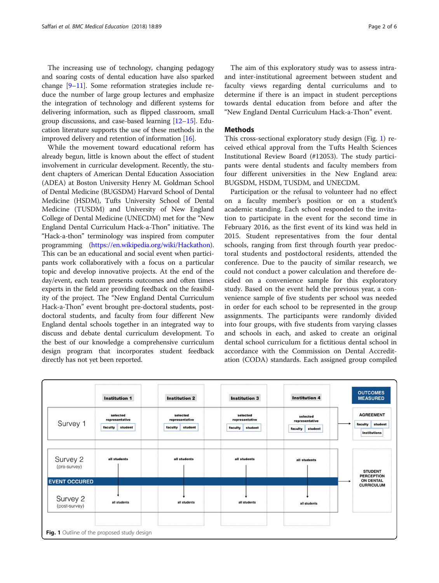The increasing use of technology, changing pedagogy and soaring costs of dental education have also sparked change [[9](#page-5-0)–[11](#page-5-0)]. Some reformation strategies include reduce the number of large group lectures and emphasize the integration of technology and different systems for delivering information, such as flipped classroom, small group discussions, and case-based learning [\[12](#page-5-0)–[15\]](#page-5-0). Education literature supports the use of these methods in the improved delivery and retention of information [\[16\]](#page-5-0).

While the movement toward educational reform has already begun, little is known about the effect of student involvement in curricular development. Recently, the student chapters of American Dental Education Association (ADEA) at Boston University Henry M. Goldman School of Dental Medicine (BUGSDM) Harvard School of Dental Medicine (HSDM), Tufts University School of Dental Medicine (TUSDM) and University of New England College of Dental Medicine (UNECDM) met for the "New England Dental Curriculum Hack-a-Thon" initiative. The "Hack-a-thon" terminology was inspired from computer programming ([https://en.wikipedia.org/wiki/Hackathon](https://en.wikipedia.org/wiki/Hackathon))). This can be an educational and social event when participants work collaboratively with a focus on a particular topic and develop innovative projects. At the end of the day/event, each team presents outcomes and often times experts in the field are providing feedback on the feasibility of the project. The "New England Dental Curriculum Hack-a-Thon" event brought pre-doctoral students, postdoctoral students, and faculty from four different New England dental schools together in an integrated way to discuss and debate dental curriculum development. To the best of our knowledge a comprehensive curriculum design program that incorporates student feedback directly has not yet been reported.

The aim of this exploratory study was to assess intraand inter-institutional agreement between student and faculty views regarding dental curriculums and to determine if there is an impact in student perceptions towards dental education from before and after the "New England Dental Curriculum Hack-a-Thon" event.

## **Methods**

This cross-sectional exploratory study design (Fig. 1) received ethical approval from the Tufts Health Sciences Institutional Review Board (#12053). The study participants were dental students and faculty members from four different universities in the New England area: BUGSDM, HSDM, TUSDM, and UNECDM.

Participation or the refusal to volunteer had no effect on a faculty member's position or on a student's academic standing. Each school responded to the invitation to participate in the event for the second time in February 2016, as the first event of its kind was held in 2015. Student representatives from the four dental schools, ranging from first through fourth year predoctoral students and postdoctoral residents, attended the conference. Due to the paucity of similar research, we could not conduct a power calculation and therefore decided on a convenience sample for this exploratory study. Based on the event held the previous year, a convenience sample of five students per school was needed in order for each school to be represented in the group assignments. The participants were randomly divided into four groups, with five students from varying classes and schools in each, and asked to create an original dental school curriculum for a fictitious dental school in accordance with the Commission on Dental Accreditation (CODA) standards. Each assigned group compiled

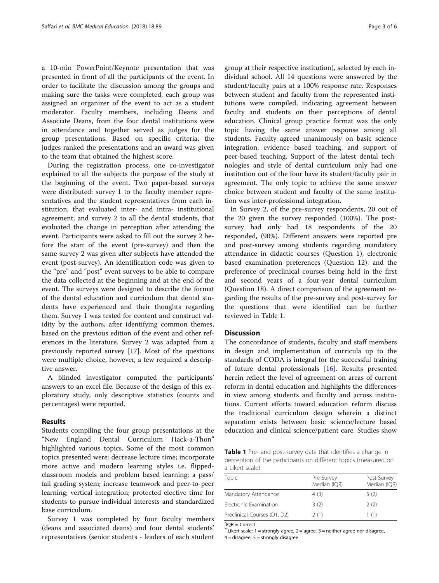a 10-min PowerPoint/Keynote presentation that was presented in front of all the participants of the event. In order to facilitate the discussion among the groups and making sure the tasks were completed, each group was assigned an organizer of the event to act as a student moderator. Faculty members, including Deans and Associate Deans, from the four dental institutions were in attendance and together served as judges for the group presentations. Based on specific criteria, the judges ranked the presentations and an award was given to the team that obtained the highest score.

During the registration process, one co-investigator explained to all the subjects the purpose of the study at the beginning of the event. Two paper-based surveys were distributed: survey 1 to the faculty member representatives and the student representatives from each institution, that evaluated inter- and intra- institutional agreement; and survey 2 to all the dental students, that evaluated the change in perception after attending the event. Participants were asked to fill out the survey 2 before the start of the event (pre-survey) and then the same survey 2 was given after subjects have attended the event (post-survey). An identification code was given to the "pre" and "post" event surveys to be able to compare the data collected at the beginning and at the end of the event. The surveys were designed to describe the format of the dental education and curriculum that dental students have experienced and their thoughts regarding them. Survey 1 was tested for content and construct validity by the authors, after identifying common themes, based on the previous edition of the event and other references in the literature. Survey 2 was adapted from a previously reported survey [\[17](#page-5-0)]. Most of the questions were multiple choice, however, a few required a descriptive answer.

A blinded investigator computed the participants' answers to an excel file. Because of the design of this exploratory study, only descriptive statistics (counts and percentages) were reported.

### Results

Students compiling the four group presentations at the "New England Dental Curriculum Hack-a-Thon" highlighted various topics. Some of the most common topics presented were: decrease lecture time; incorporate more active and modern learning styles i.e. flippedclassroom models and problem based learning; a pass/ fail grading system; increase teamwork and peer-to-peer learning; vertical integration; protected elective time for students to pursue individual interests and standardized base curriculum.

Survey 1 was completed by four faculty members (deans and associated deans) and four dental students' representatives (senior students - leaders of each student group at their respective institution), selected by each individual school. All 14 questions were answered by the student/faculty pairs at a 100% response rate. Responses between student and faculty from the represented institutions were compiled, indicating agreement between faculty and students on their perceptions of dental education. Clinical group practice format was the only topic having the same answer response among all students. Faculty agreed unanimously on basic science integration, evidence based teaching, and support of peer-based teaching. Support of the latest dental technologies and style of dental curriculum only had one institution out of the four have its student/faculty pair in agreement. The only topic to achieve the same answer choice between student and faculty of the same institution was inter-professional integration.

In Survey 2, of the pre-survey respondents, 20 out of the 20 given the survey responded (100%). The postsurvey had only had 18 respondents of the 20 responded, (90%). Different answers were reported pre and post-survey among students regarding mandatory attendance in didactic courses (Question 1), electronic based examination preferences (Question 12), and the preference of preclinical courses being held in the first and second years of a four-year dental curriculum (Question 18). A direct comparison of the agreement regarding the results of the pre-survey and post-survey for the questions that were identified can be further reviewed in Table 1.

# Discussion

The concordance of students, faculty and staff members in design and implementation of curricula up to the standards of CODA is integral for the successful training of future dental professionals [[16](#page-5-0)]. Results presented herein reflect the level of agreement on areas of current reform in dental education and highlights the differences in view among students and faculty and across institutions. Current efforts toward education reform discuss the traditional curriculum design wherein a distinct separation exists between basic science/lecture based education and clinical science/patient care. Studies show

**Table 1** Pre- and post-survey data that identifies a change in perception of the participants on different topics (measured on a Likert scale)

| Topic                        | Pre-Survey<br>Median (IQR) | Post-Survey<br>Median (IQR) |
|------------------------------|----------------------------|-----------------------------|
| Mandatory Attendance         | 4(3)                       | 5(2)                        |
| Electronic Examination       | 3(2)                       | 2(2)                        |
| Preclinical Courses (D1, D2) | 2(1)                       | 1(1)                        |

 $*$ IQR = Correct

 $\tilde{\ }$ Likert scale: 1 = strongly agree, 2 = agree, 3 = neither agree nor disagree,  $4 =$  disagree,  $5 =$  strongly disagree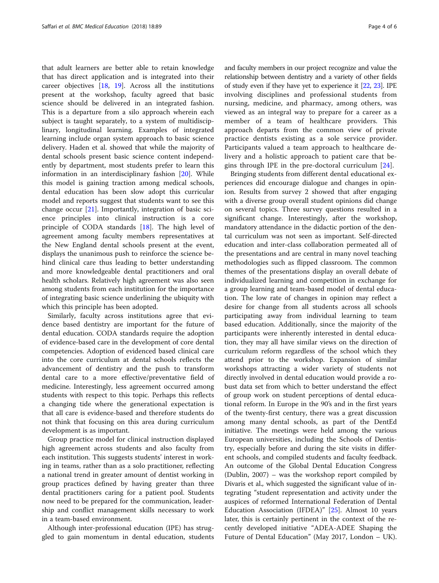that adult learners are better able to retain knowledge that has direct application and is integrated into their career objectives [[18,](#page-5-0) [19\]](#page-5-0). Across all the institutions present at the workshop, faculty agreed that basic science should be delivered in an integrated fashion. This is a departure from a silo approach wherein each subject is taught separately, to a system of multidisciplinary, longitudinal learning. Examples of integrated learning include organ system approach to basic science delivery. Haden et al. showed that while the majority of dental schools present basic science content independently by department, most students prefer to learn this information in an interdisciplinary fashion [[20\]](#page-5-0). While this model is gaining traction among medical schools, dental education has been slow adopt this curricular model and reports suggest that students want to see this change occur [[21\]](#page-5-0). Importantly, integration of basic science principles into clinical instruction is a core principle of CODA standards [\[18\]](#page-5-0). The high level of agreement among faculty members representatives at the New England dental schools present at the event, displays the unanimous push to reinforce the science behind clinical care thus leading to better understanding and more knowledgeable dental practitioners and oral health scholars. Relatively high agreement was also seen among students from each institution for the importance of integrating basic science underlining the ubiquity with which this principle has been adopted.

Similarly, faculty across institutions agree that evidence based dentistry are important for the future of dental education. CODA standards require the adoption of evidence-based care in the development of core dental competencies. Adoption of evidenced based clinical care into the core curriculum at dental schools reflects the advancement of dentistry and the push to transform dental care to a more effective/preventative field of medicine. Interestingly, less agreement occurred among students with respect to this topic. Perhaps this reflects a changing tide where the generational expectation is that all care is evidence-based and therefore students do not think that focusing on this area during curriculum development is as important.

Group practice model for clinical instruction displayed high agreement across students and also faculty from each institution. This suggests students' interest in working in teams, rather than as a solo practitioner, reflecting a national trend in greater amount of dentist working in group practices defined by having greater than three dental practitioners caring for a patient pool. Students now need to be prepared for the communication, leadership and conflict management skills necessary to work in a team-based environment.

Although inter-professional education (IPE) has struggled to gain momentum in dental education, students and faculty members in our project recognize and value the relationship between dentistry and a variety of other fields of study even if they have yet to experience it [\[22,](#page-5-0) [23](#page-5-0)]. IPE involving disciplines and professional students from nursing, medicine, and pharmacy, among others, was viewed as an integral way to prepare for a career as a member of a team of healthcare providers. This approach departs from the common view of private practice dentists existing as a sole service provider. Participants valued a team approach to healthcare delivery and a holistic approach to patient care that begins through IPE in the pre-doctoral curriculum [\[24](#page-5-0)].

Bringing students from different dental educational experiences did encourage dialogue and changes in opinion. Results from survey 2 showed that after engaging with a diverse group overall student opinions did change on several topics. Three survey questions resulted in a significant change. Interestingly, after the workshop, mandatory attendance in the didactic portion of the dental curriculum was not seen as important. Self-directed education and inter-class collaboration permeated all of the presentations and are central in many novel teaching methodologies such as flipped classroom. The common themes of the presentations display an overall debate of individualized learning and competition in exchange for a group learning and team-based model of dental education. The low rate of changes in opinion may reflect a desire for change from all students across all schools participating away from individual learning to team based education. Additionally, since the majority of the participants were inherently interested in dental education, they may all have similar views on the direction of curriculum reform regardless of the school which they attend prior to the workshop. Expansion of similar workshops attracting a wider variety of students not directly involved in dental education would provide a robust data set from which to better understand the effect of group work on student perceptions of dental educational reform. In Europe in the 90's and in the first years of the twenty-first century, there was a great discussion among many dental schools, as part of the DentEd initiative. The meetings were held among the various European universities, including the Schools of Dentistry, especially before and during the site visits in different schools, and compiled students and faculty feedback. An outcome of the Global Dental Education Congress (Dublin, 2007) – was the workshop report compiled by Divaris et al., which suggested the significant value of integrating "student representation and activity under the auspices of reformed International Federation of Dental Education Association (IFDEA)" [[25\]](#page-5-0). Almost 10 years later, this is certainly pertinent in the context of the recently developed initiative "ADEA-ADEE Shaping the Future of Dental Education" (May 2017, London – UK).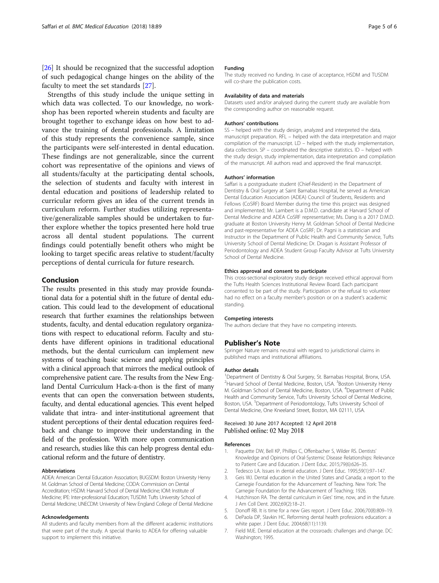<span id="page-4-0"></span>[[26\]](#page-5-0) It should be recognized that the successful adoption of such pedagogical change hinges on the ability of the faculty to meet the set standards [\[27](#page-5-0)].

Strengths of this study include the unique setting in which data was collected. To our knowledge, no workshop has been reported wherein students and faculty are brought together to exchange ideas on how best to advance the training of dental professionals. A limitation of this study represents the convenience sample, since the participants were self-interested in dental education. These findings are not generalizable, since the current cohort was representative of the opinions and views of all students/faculty at the participating dental schools, the selection of students and faculty with interest in dental education and positions of leadership related to curricular reform gives an idea of the current trends in curriculum reform. Further studies utilizing representative/generalizable samples should be undertaken to further explore whether the topics presented here hold true across all dental student populations. The current findings could potentially benefit others who might be looking to target specific areas relative to student/faculty perceptions of dental curricula for future research.

#### Conclusion

The results presented in this study may provide foundational data for a potential shift in the future of dental education. This could lead to the development of educational research that further examines the relationships between students, faculty, and dental education regulatory organizations with respect to educational reform. Faculty and students have different opinions in traditional educational methods, but the dental curriculum can implement new systems of teaching basic science and applying principles with a clinical approach that mirrors the medical outlook of comprehensive patient care. The results from the New England Dental Curriculum Hack-a-thon is the first of many events that can open the conversation between students, faculty, and dental educational agencies. This event helped validate that intra- and inter-institutional agreement that student perceptions of their dental education requires feedback and change to improve their understanding in the field of the profession. With more open communication and research, studies like this can help progress dental educational reform and the future of dentistry.

#### Abbreviations

ADEA: American Dental Education Association; BUGSDM: Boston University Henry M. Goldman School of Dental Medicine; CODA: Commission on Dental Accreditation; HSDM: Harvard School of Dental Medicine; IOM: Institute of Medicine; IPE: Inter-professional Education; TUSDM: Tufts University School of Dental Medicine; UNECDM: University of New England College of Dental Medicine

#### Acknowledgements

All students and faculty members from all the different academic institutions that were part of the study. A special thanks to ADEA for offering valuable support to implement this initiative.

#### Funding

The study received no funding. In case of acceptance, HSDM and TUSDM will co-share the publication costs.

#### Availability of data and materials

Datasets used and/or analysed during the current study are available from the corresponding author on reasonable request.

#### Authors' contributions

SS – helped with the study design, analyzed and interpreted the data, manuscript preparation. RFL – helped with the data interpretation and major compilation of the manuscript. LD – helped with the study implementation, data collection. SP – coordinated the descriptive statistics. ID – helped with the study design, study implementation, data interpretation and compilation of the manuscript. All authors read and approved the final manuscript.

#### Authors' information

Saffari is a postgraduate student (Chief-Resident) in the Department of Dentistry & Oral Surgery at Saint Barnabas Hospital, he served as American Dental Education Association (ADEA) Council of Students, Residents and Fellows (CoSRF) Board Member during the time this project was designed and implemented; Mr. Lambert is a D.M.D. candidate at Harvard School of Dental Medicine and ADEA CoSRF representative; Ms. Dang is a 2017 D.M.D. graduate at Boston University Henry M. Goldman School of Dental Medicine and past-representative for ADEA CoSRF; Dr. Pagni is a statistician and Instructor in the Department of Public Health and Community Service, Tufts University School of Dental Medicine; Dr. Dragan is Assistant Professor of Periodontology and ADEA Student Group Faculty Advisor at Tufts University School of Dental Medicine.

#### Ethics approval and consent to participate

This cross-sectional exploratory study design received ethical approval from the Tufts Health Sciences Institutional Review Board. Each participant consented to be part of the study. Participation or the refusal to volunteer had no effect on a faculty member's position or on a student's academic standing.

#### Competing interests

The authors declare that they have no competing interests.

### Publisher's Note

Springer Nature remains neutral with regard to jurisdictional claims in published maps and institutional affiliations.

#### Author details

<sup>1</sup> Department of Dentistry & Oral Surgery, St. Barnabas Hospital, Bronx, USA <sup>2</sup> Harvard School of Dental Medicine, Boston, USA. <sup>3</sup> Boston University Henry M. Goldman School of Dental Medicine, Boston, USA. <sup>4</sup>Department of Public Health and Community Service, Tufts University School of Dental Medicine, Boston, USA.<sup>5</sup> Department of Periodontology, Tufts University School of Dental Medicine, One Kneeland Street, Boston, MA 02111, USA.

#### Received: 30 June 2017 Accepted: 12 April 2018 Published online: 02 May 2018

#### References

- 1. Paquette DW, Bell KP, Phillips C, Offenbacher S, Wilder RS. Dentists' Knowledge and Opinions of Oral-Systemic Disease Relationships: Relevance to Patient Care and Education. J Dent Educ. 2015;79(6):626–35.
- 2. Tedesco LA. Issues in dental education. J Dent Educ. 1995;59(1):97–147.
- 3. Geis WJ. Dental education in the United States and Canada; a report to the Carnegie Foundation for the Advancement of Teaching. New York: The Carnegie Foundation for the Advancement of Teaching; 1926.
- 4. Hutchinson RA. The dental curriculum in Gies' time, now, and in the future. J Am Coll Dent. 2002;69(2):18–21.
- 5. Donoff RB. It is time for a new Gies report. J Dent Educ. 2006;70(8):809–19.
- 6. DePaola DP, Slavkin HC. Reforming dental health professions education: a white paper. J Dent Educ. 2004;68(11):1139.
- 7. Field MJE. Dental education at the crossroads: challenges and change. DC: Washington; 1995.